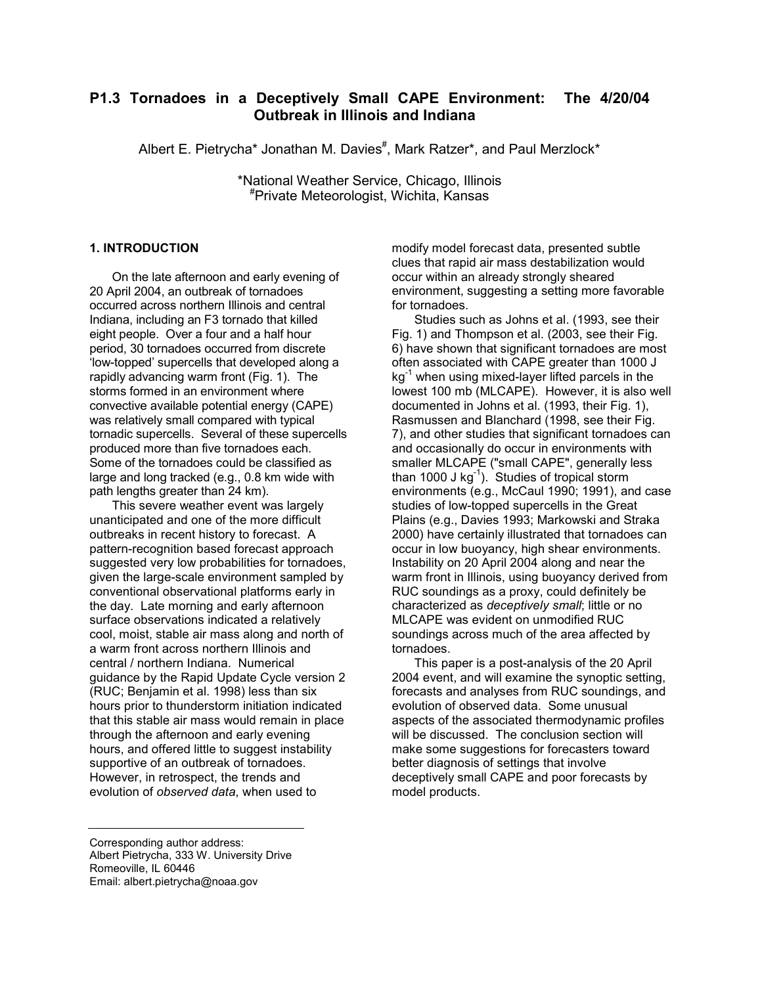# **P1.3 Tornadoes in a Deceptively Small CAPE Environment: The 4/20/04 Outbreak in Illinois and Indiana**

Albert E. Pietrycha\* Jonathan M. Davies<sup>#</sup>, Mark Ratzer\*, and Paul Merzlock\*

\*National Weather Service, Chicago, Illinois # Private Meteorologist, Wichita, Kansas

# **1. INTRODUCTION**

On the late afternoon and early evening of 20 April 2004, an outbreak of tornadoes occurred across northern Illinois and central Indiana, including an F3 tornado that killed eight people. Over a four and a half hour period, 30 tornadoes occurred from discrete 'low-topped' supercells that developed along a rapidly advancing warm front (Fig. 1). The storms formed in an environment where convective available potential energy (CAPE) was relatively small compared with typical tornadic supercells. Several of these supercells produced more than five tornadoes each. Some of the tornadoes could be classified as large and long tracked (e.g., 0.8 km wide with path lengths greater than 24 km).

This severe weather event was largely unanticipated and one of the more difficult outbreaks in recent history to forecast. A pattern-recognition based forecast approach suggested very low probabilities for tornadoes, given the large-scale environment sampled by conventional observational platforms early in the day. Late morning and early afternoon surface observations indicated a relatively cool, moist, stable air mass along and north of a warm front across northern Illinois and central / northern Indiana. Numerical guidance by the Rapid Update Cycle version 2 (RUC; Benjamin et al. 1998) less than six hours prior to thunderstorm initiation indicated that this stable air mass would remain in place through the afternoon and early evening hours, and offered little to suggest instability supportive of an outbreak of tornadoes. However, in retrospect, the trends and evolution of *observed data*, when used to

modify model forecast data, presented subtle clues that rapid air mass destabilization would occur within an already strongly sheared environment, suggesting a setting more favorable for tornadoes.

Studies such as Johns et al. (1993, see their Fig. 1) and Thompson et al. (2003, see their Fig. 6) have shown that significant tornadoes are most often associated with CAPE greater than 1000 J  $kg^{-1}$  when using mixed-layer lifted parcels in the lowest 100 mb (MLCAPE). However, it is also well documented in Johns et al. (1993, their Fig. 1), Rasmussen and Blanchard (1998, see their Fig. 7), and other studies that significant tornadoes can and occasionally do occur in environments with smaller MLCAPE ("small CAPE", generally less than 1000 J kg<sup>-1</sup>). Studies of tropical storm environments (e.g., McCaul 1990; 1991), and case studies of low-topped supercells in the Great Plains (e.g., Davies 1993; Markowski and Straka 2000) have certainly illustrated that tornadoes can occur in low buoyancy, high shear environments. Instability on 20 April 2004 along and near the warm front in Illinois, using buoyancy derived from RUC soundings as a proxy, could definitely be characterized as *deceptively small*; little or no MLCAPE was evident on unmodified RUC soundings across much of the area affected by tornadoes.

This paper is a post-analysis of the 20 April 2004 event, and will examine the synoptic setting, forecasts and analyses from RUC soundings, and evolution of observed data. Some unusual aspects of the associated thermodynamic profiles will be discussed. The conclusion section will make some suggestions for forecasters toward better diagnosis of settings that involve deceptively small CAPE and poor forecasts by model products.

Corresponding author address: Albert Pietrycha, 333 W. University Drive Romeoville, IL 60446 Email: albert.pietrycha@noaa.gov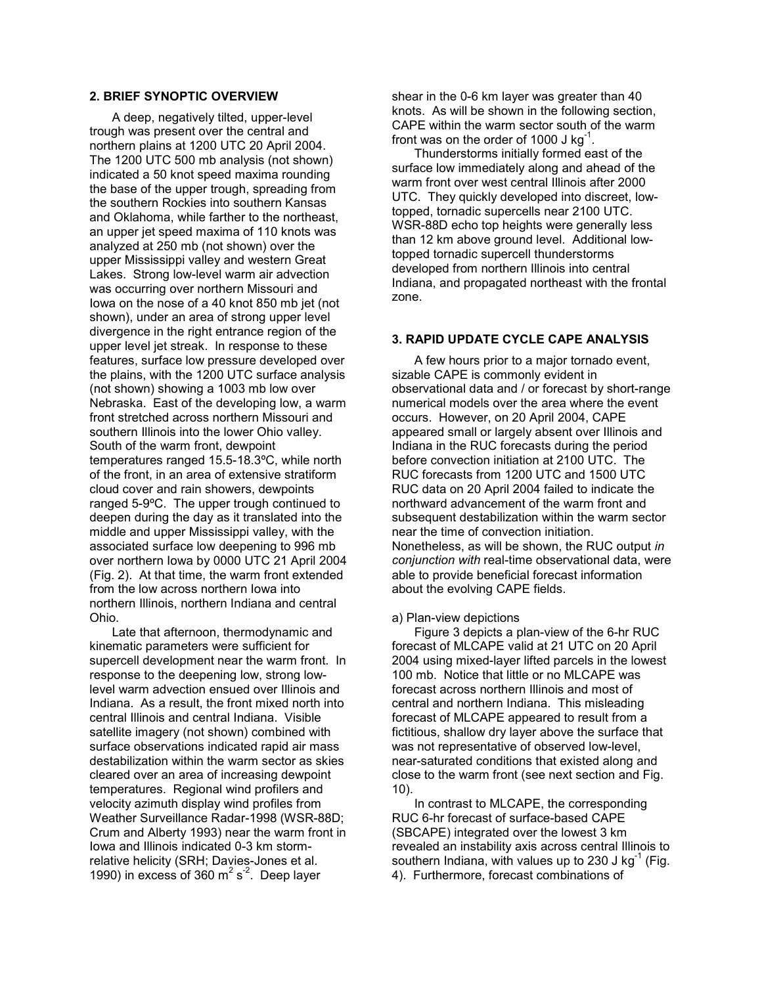# **2. BRIEF SYNOPTIC OVERVIEW**

A deep, negatively tilted, upper-level trough was present over the central and northern plains at 1200 UTC 20 April 2004. The 1200 UTC 500 mb analysis (not shown) indicated a 50 knot speed maxima rounding the base of the upper trough, spreading from the southern Rockies into southern Kansas and Oklahoma, while farther to the northeast, an upper jet speed maxima of 110 knots was analyzed at 250 mb (not shown) over the upper Mississippi valley and western Great Lakes. Strong low-level warm air advection was occurring over northern Missouri and Iowa on the nose of a 40 knot 850 mb jet (not shown), under an area of strong upper level divergence in the right entrance region of the upper level jet streak. In response to these features, surface low pressure developed over the plains, with the 1200 UTC surface analysis (not shown) showing a 1003 mb low over Nebraska. East of the developing low, a warm front stretched across northern Missouri and southern Illinois into the lower Ohio valley. South of the warm front, dewpoint temperatures ranged 15.5-18.3ºC, while north of the front, in an area of extensive stratiform cloud cover and rain showers, dewpoints ranged 5-9ºC. The upper trough continued to deepen during the day as it translated into the middle and upper Mississippi valley, with the associated surface low deepening to 996 mb over northern Iowa by 0000 UTC 21 April 2004 (Fig. 2). At that time, the warm front extended from the low across northern Iowa into northern Illinois, northern Indiana and central Ohio.

Late that afternoon, thermodynamic and kinematic parameters were sufficient for supercell development near the warm front. In response to the deepening low, strong lowlevel warm advection ensued over Illinois and Indiana. As a result, the front mixed north into central Illinois and central Indiana. Visible satellite imagery (not shown) combined with surface observations indicated rapid air mass destabilization within the warm sector as skies cleared over an area of increasing dewpoint temperatures. Regional wind profilers and velocity azimuth display wind profiles from Weather Surveillance Radar-1998 (WSR-88D; Crum and Alberty 1993) near the warm front in Iowa and Illinois indicated 0-3 km stormrelative helicity (SRH; Davies-Jones et al. 1990) in excess of 360  $m^2 s^2$ . Deep layer

shear in the 0-6 km layer was greater than 40 knots. As will be shown in the following section, CAPE within the warm sector south of the warm front was on the order of 1000 J  $kg^{-1}$ .

Thunderstorms initially formed east of the surface low immediately along and ahead of the warm front over west central Illinois after 2000 UTC. They quickly developed into discreet, lowtopped, tornadic supercells near 2100 UTC. WSR-88D echo top heights were generally less than 12 km above ground level. Additional lowtopped tornadic supercell thunderstorms developed from northern Illinois into central Indiana, and propagated northeast with the frontal zone.

### **3. RAPID UPDATE CYCLE CAPE ANALYSIS**

A few hours prior to a major tornado event, sizable CAPE is commonly evident in observational data and / or forecast by short-range numerical models over the area where the event occurs. However, on 20 April 2004, CAPE appeared small or largely absent over Illinois and Indiana in the RUC forecasts during the period before convection initiation at 2100 UTC. The RUC forecasts from 1200 UTC and 1500 UTC RUC data on 20 April 2004 failed to indicate the northward advancement of the warm front and subsequent destabilization within the warm sector near the time of convection initiation. Nonetheless, as will be shown, the RUC output *in conjunction with* real-time observational data, were able to provide beneficial forecast information about the evolving CAPE fields.

#### a) Plan-view depictions

Figure 3 depicts a plan-view of the 6-hr RUC forecast of MLCAPE valid at 21 UTC on 20 April 2004 using mixed-layer lifted parcels in the lowest 100 mb. Notice that little or no MLCAPE was forecast across northern Illinois and most of central and northern Indiana. This misleading forecast of MLCAPE appeared to result from a fictitious, shallow dry layer above the surface that was not representative of observed low-level, near-saturated conditions that existed along and close to the warm front (see next section and Fig. 10).

In contrast to MLCAPE, the corresponding RUC 6-hr forecast of surface-based CAPE (SBCAPE) integrated over the lowest 3 km revealed an instability axis across central Illinois to southern Indiana, with values up to 230 J kg<sup>-1</sup> (Fig. 4). Furthermore, forecast combinations of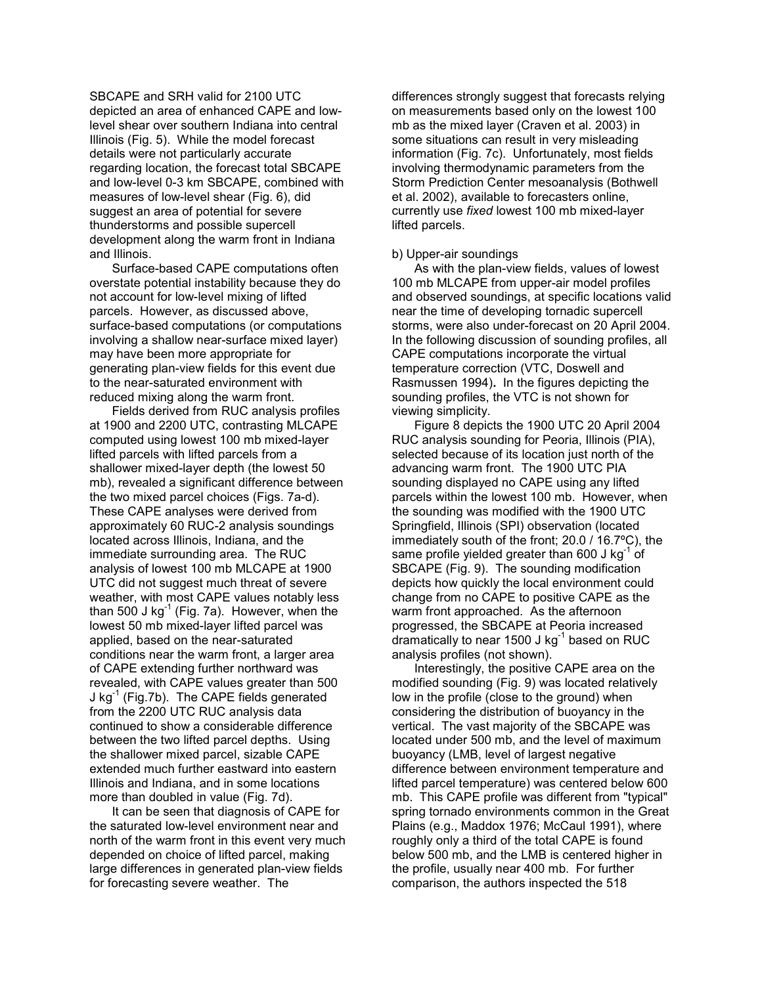SBCAPE and SRH valid for 2100 UTC depicted an area of enhanced CAPE and lowlevel shear over southern Indiana into central Illinois (Fig. 5). While the model forecast details were not particularly accurate regarding location, the forecast total SBCAPE and low-level 0-3 km SBCAPE, combined with measures of low-level shear (Fig. 6), did suggest an area of potential for severe thunderstorms and possible supercell development along the warm front in Indiana and Illinois.

Surface-based CAPE computations often overstate potential instability because they do not account for low-level mixing of lifted parcels. However, as discussed above, surface-based computations (or computations involving a shallow near-surface mixed layer) may have been more appropriate for generating plan-view fields for this event due to the near-saturated environment with reduced mixing along the warm front.

Fields derived from RUC analysis profiles at 1900 and 2200 UTC, contrasting MLCAPE computed using lowest 100 mb mixed-layer lifted parcels with lifted parcels from a shallower mixed-layer depth (the lowest 50 mb), revealed a significant difference between the two mixed parcel choices (Figs. 7a-d). These CAPE analyses were derived from approximately 60 RUC-2 analysis soundings located across Illinois, Indiana, and the immediate surrounding area. The RUC analysis of lowest 100 mb MLCAPE at 1900 UTC did not suggest much threat of severe weather, with most CAPE values notably less than 500 J kg $^{-1}$  (Fig. 7a). However, when the lowest 50 mb mixed-layer lifted parcel was applied, based on the near-saturated conditions near the warm front, a larger area of CAPE extending further northward was revealed, with CAPE values greater than 500 J kg $^{-1}$  (Fig.7b). The CAPE fields generated from the 2200 UTC RUC analysis data continued to show a considerable difference between the two lifted parcel depths. Using the shallower mixed parcel, sizable CAPE extended much further eastward into eastern Illinois and Indiana, and in some locations more than doubled in value (Fig. 7d).

It can be seen that diagnosis of CAPE for the saturated low-level environment near and north of the warm front in this event very much depended on choice of lifted parcel, making large differences in generated plan-view fields for forecasting severe weather. The

differences strongly suggest that forecasts relying on measurements based only on the lowest 100 mb as the mixed layer (Craven et al. 2003) in some situations can result in very misleading information (Fig. 7c). Unfortunately, most fields involving thermodynamic parameters from the Storm Prediction Center mesoanalysis (Bothwell et al. 2002), available to forecasters online, currently use *fixed* lowest 100 mb mixed-layer lifted parcels.

#### b) Upper-air soundings

As with the plan-view fields, values of lowest 100 mb MLCAPE from upper-air model profiles and observed soundings, at specific locations valid near the time of developing tornadic supercell storms, were also under-forecast on 20 April 2004. In the following discussion of sounding profiles, all CAPE computations incorporate the virtual temperature correction (VTC, Doswell and Rasmussen 1994)**.** In the figures depicting the sounding profiles, the VTC is not shown for viewing simplicity.

Figure 8 depicts the 1900 UTC 20 April 2004 RUC analysis sounding for Peoria, Illinois (PIA), selected because of its location just north of the advancing warm front. The 1900 UTC PIA sounding displayed no CAPE using any lifted parcels within the lowest 100 mb. However, when the sounding was modified with the 1900 UTC Springfield, Illinois (SPI) observation (located immediately south of the front; 20.0 / 16.7ºC), the same profile yielded greater than 600 J  $kg^{-1}$  of SBCAPE (Fig. 9). The sounding modification depicts how quickly the local environment could change from no CAPE to positive CAPE as the warm front approached. As the afternoon progressed, the SBCAPE at Peoria increased dramatically to near 1500 J kg<sup>-1</sup> based on RUC analysis profiles (not shown).

Interestingly, the positive CAPE area on the modified sounding (Fig. 9) was located relatively low in the profile (close to the ground) when considering the distribution of buoyancy in the vertical. The vast majority of the SBCAPE was located under 500 mb, and the level of maximum buoyancy (LMB, level of largest negative difference between environment temperature and lifted parcel temperature) was centered below 600 mb. This CAPE profile was different from "typical" spring tornado environments common in the Great Plains (e.g., Maddox 1976; McCaul 1991), where roughly only a third of the total CAPE is found below 500 mb, and the LMB is centered higher in the profile, usually near 400 mb. For further comparison, the authors inspected the 518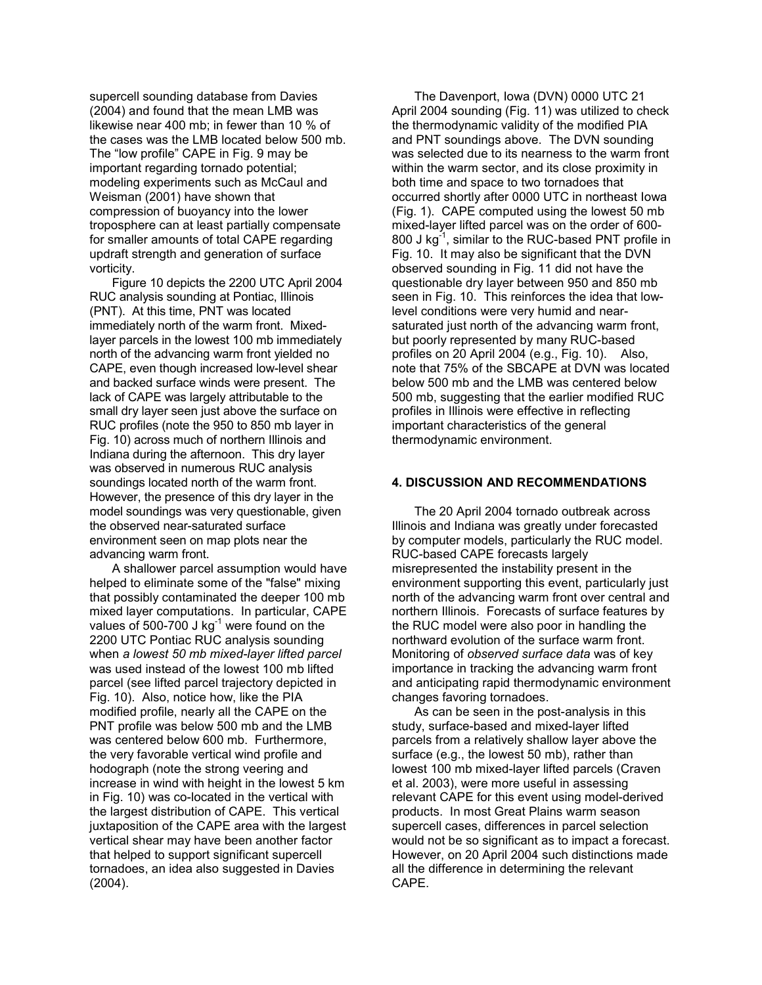supercell sounding database from Davies (2004) and found that the mean LMB was likewise near 400 mb; in fewer than 10 % of the cases was the LMB located below 500 mb. The "low profile" CAPE in Fig. 9 may be important regarding tornado potential; modeling experiments such as McCaul and Weisman (2001) have shown that compression of buoyancy into the lower troposphere can at least partially compensate for smaller amounts of total CAPE regarding updraft strength and generation of surface vorticity.

Figure 10 depicts the 2200 UTC April 2004 RUC analysis sounding at Pontiac, Illinois (PNT). At this time, PNT was located immediately north of the warm front. Mixedlayer parcels in the lowest 100 mb immediately north of the advancing warm front yielded no CAPE, even though increased low-level shear and backed surface winds were present. The lack of CAPE was largely attributable to the small dry layer seen just above the surface on RUC profiles (note the 950 to 850 mb layer in Fig. 10) across much of northern Illinois and Indiana during the afternoon. This dry layer was observed in numerous RUC analysis soundings located north of the warm front. However, the presence of this dry layer in the model soundings was very questionable, given the observed near-saturated surface environment seen on map plots near the advancing warm front.

A shallower parcel assumption would have helped to eliminate some of the "false" mixing that possibly contaminated the deeper 100 mb mixed layer computations. In particular, CAPE values of 500-700 J kg $^{-1}$  were found on the 2200 UTC Pontiac RUC analysis sounding when *a lowest 50 mb mixed-layer lifted parcel* was used instead of the lowest 100 mb lifted parcel (see lifted parcel trajectory depicted in Fig. 10). Also, notice how, like the PIA modified profile, nearly all the CAPE on the PNT profile was below 500 mb and the LMB was centered below 600 mb. Furthermore, the very favorable vertical wind profile and hodograph (note the strong veering and increase in wind with height in the lowest 5 km in Fig. 10) was co-located in the vertical with the largest distribution of CAPE. This vertical juxtaposition of the CAPE area with the largest vertical shear may have been another factor that helped to support significant supercell tornadoes, an idea also suggested in Davies (2004).

The Davenport, Iowa (DVN) 0000 UTC 21 April 2004 sounding (Fig. 11) was utilized to check the thermodynamic validity of the modified PIA and PNT soundings above. The DVN sounding was selected due to its nearness to the warm front within the warm sector, and its close proximity in both time and space to two tornadoes that occurred shortly after 0000 UTC in northeast Iowa (Fig. 1). CAPE computed using the lowest 50 mb mixed-layer lifted parcel was on the order of 600- 800 J kg $^{-1}$ , similar to the RUC-based PNT profile in Fig. 10. It may also be significant that the DVN observed sounding in Fig. 11 did not have the questionable dry layer between 950 and 850 mb seen in Fig. 10. This reinforces the idea that lowlevel conditions were very humid and nearsaturated just north of the advancing warm front, but poorly represented by many RUC-based profiles on 20 April 2004 (e.g., Fig. 10). Also, note that 75% of the SBCAPE at DVN was located below 500 mb and the LMB was centered below 500 mb, suggesting that the earlier modified RUC profiles in Illinois were effective in reflecting important characteristics of the general thermodynamic environment.

### **4. DISCUSSION AND RECOMMENDATIONS**

The 20 April 2004 tornado outbreak across Illinois and Indiana was greatly under forecasted by computer models, particularly the RUC model. RUC-based CAPE forecasts largely misrepresented the instability present in the environment supporting this event, particularly just north of the advancing warm front over central and northern Illinois. Forecasts of surface features by the RUC model were also poor in handling the northward evolution of the surface warm front. Monitoring of *observed surface data* was of key importance in tracking the advancing warm front and anticipating rapid thermodynamic environment changes favoring tornadoes.

As can be seen in the post-analysis in this study, surface-based and mixed-layer lifted parcels from a relatively shallow layer above the surface (e.g., the lowest 50 mb), rather than lowest 100 mb mixed-layer lifted parcels (Craven et al. 2003), were more useful in assessing relevant CAPE for this event using model-derived products. In most Great Plains warm season supercell cases, differences in parcel selection would not be so significant as to impact a forecast. However, on 20 April 2004 such distinctions made all the difference in determining the relevant CAPE.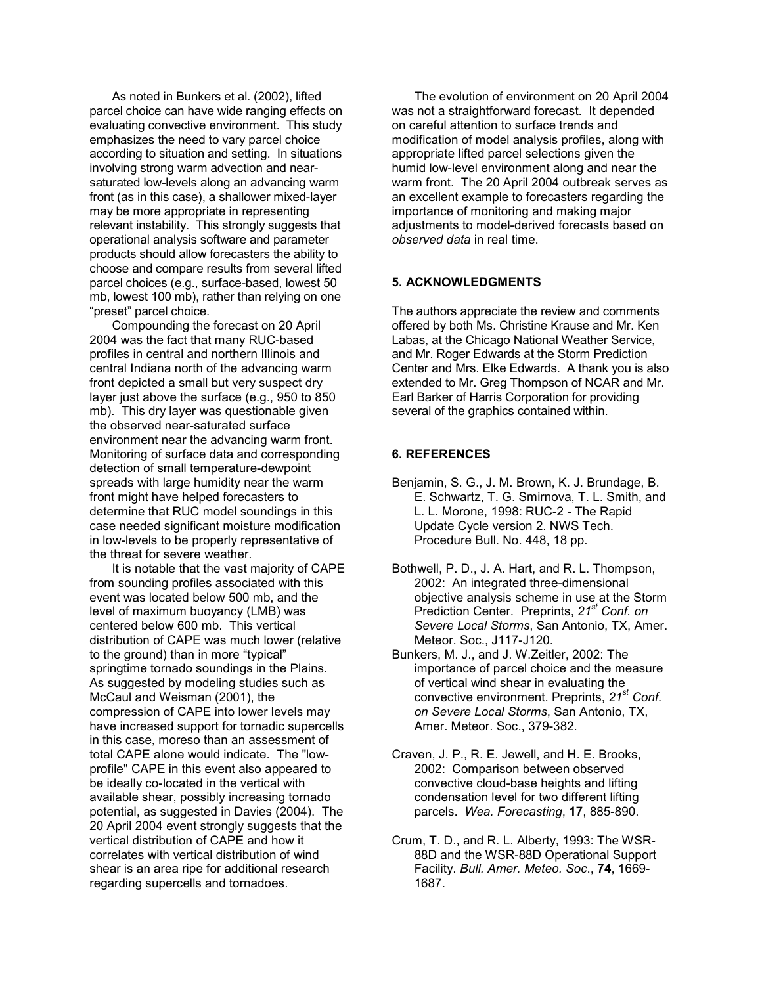As noted in Bunkers et al. (2002), lifted parcel choice can have wide ranging effects on evaluating convective environment. This study emphasizes the need to vary parcel choice according to situation and setting. In situations involving strong warm advection and nearsaturated low-levels along an advancing warm front (as in this case), a shallower mixed-layer may be more appropriate in representing relevant instability. This strongly suggests that operational analysis software and parameter products should allow forecasters the ability to choose and compare results from several lifted parcel choices (e.g., surface-based, lowest 50 mb, lowest 100 mb), rather than relying on one "preset" parcel choice.

Compounding the forecast on 20 April 2004 was the fact that many RUC-based profiles in central and northern Illinois and central Indiana north of the advancing warm front depicted a small but very suspect dry layer just above the surface (e.g., 950 to 850 mb). This dry layer was questionable given the observed near-saturated surface environment near the advancing warm front. Monitoring of surface data and corresponding detection of small temperature-dewpoint spreads with large humidity near the warm front might have helped forecasters to determine that RUC model soundings in this case needed significant moisture modification in low-levels to be properly representative of the threat for severe weather.

It is notable that the vast majority of CAPE from sounding profiles associated with this event was located below 500 mb, and the level of maximum buoyancy (LMB) was centered below 600 mb. This vertical distribution of CAPE was much lower (relative to the ground) than in more "typical" springtime tornado soundings in the Plains. As suggested by modeling studies such as McCaul and Weisman (2001), the compression of CAPE into lower levels may have increased support for tornadic supercells in this case, moreso than an assessment of total CAPE alone would indicate. The "lowprofile" CAPE in this event also appeared to be ideally co-located in the vertical with available shear, possibly increasing tornado potential, as suggested in Davies (2004). The 20 April 2004 event strongly suggests that the vertical distribution of CAPE and how it correlates with vertical distribution of wind shear is an area ripe for additional research regarding supercells and tornadoes.

The evolution of environment on 20 April 2004 was not a straightforward forecast. It depended on careful attention to surface trends and modification of model analysis profiles, along with appropriate lifted parcel selections given the humid low-level environment along and near the warm front. The 20 April 2004 outbreak serves as an excellent example to forecasters regarding the importance of monitoring and making major adjustments to model-derived forecasts based on *observed data* in real time.

# **5. ACKNOWLEDGMENTS**

The authors appreciate the review and comments offered by both Ms. Christine Krause and Mr. Ken Labas, at the Chicago National Weather Service, and Mr. Roger Edwards at the Storm Prediction Center and Mrs. Elke Edwards. A thank you is also extended to Mr. Greg Thompson of NCAR and Mr. Earl Barker of Harris Corporation for providing several of the graphics contained within.

### **6. REFERENCES**

- Benjamin, S. G., J. M. Brown, K. J. Brundage, B. E. Schwartz, T. G. Smirnova, T. L. Smith, and L. L. Morone, 1998: RUC-2 - The Rapid Update Cycle version 2. NWS Tech. Procedure Bull. No. 448, 18 pp.
- Bothwell, P. D., J. A. Hart, and R. L. Thompson, 2002: An integrated three-dimensional objective analysis scheme in use at the Storm Prediction Center. Preprints, *21st Conf. on Severe Local Storms*, San Antonio, TX, Amer. Meteor. Soc., J117-J120.
- Bunkers, M. J., and J. W.Zeitler, 2002: The importance of parcel choice and the measure of vertical wind shear in evaluating the convective environment. Preprints, *21st Conf. on Severe Local Storms*, San Antonio, TX, Amer. Meteor. Soc., 379-382.
- Craven, J. P., R. E. Jewell, and H. E. Brooks, 2002: Comparison between observed convective cloud-base heights and lifting condensation level for two different lifting parcels. *Wea. Forecasting*, **17**, 885-890.
- Crum, T. D., and R. L. Alberty, 1993: The WSR-88D and the WSR-88D Operational Support Facility. *Bull. Amer. Meteo. Soc*., **74**, 1669- 1687.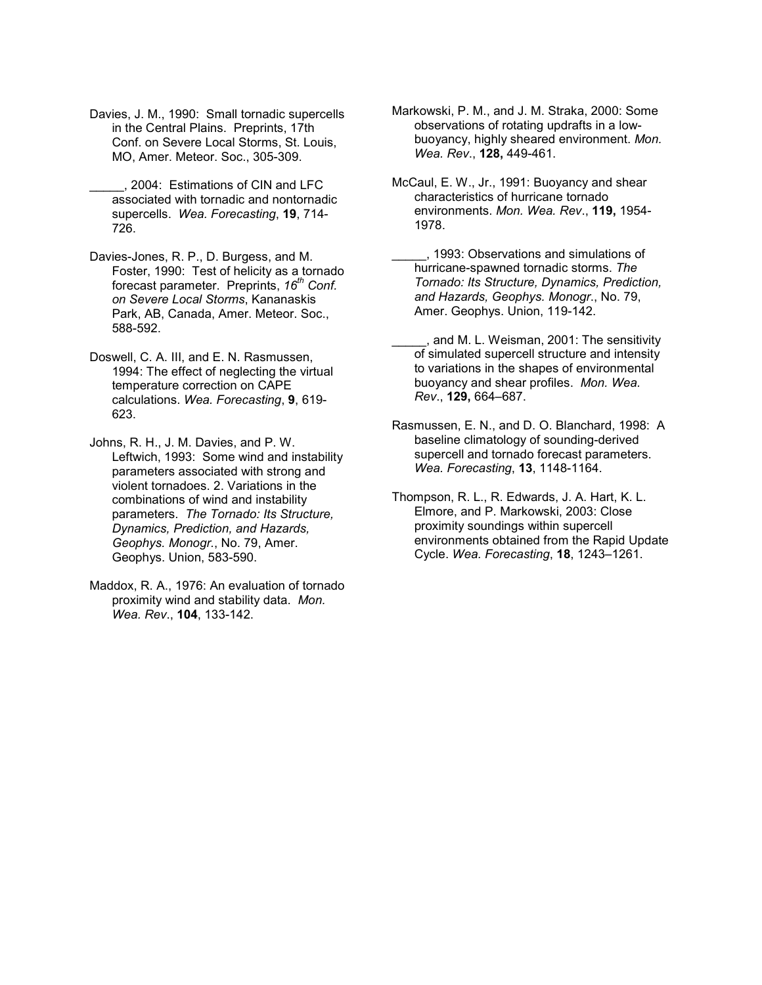- Davies, J. M., 1990: Small tornadic supercells in the Central Plains. Preprints, 17th Conf. on Severe Local Storms, St. Louis, MO, Amer. Meteor. Soc., 305-309.
- \_\_\_\_\_, 2004: Estimations of CIN and LFC associated with tornadic and nontornadic supercells. *Wea. Forecasting*, **19**, 714- 726.
- Davies-Jones, R. P., D. Burgess, and M. Foster, 1990: Test of helicity as a tornado forecast parameter. Preprints, 16<sup>th</sup> Conf. *on Severe Local Storms*, Kananaskis Park, AB, Canada, Amer. Meteor. Soc., 588-592.
- Doswell, C. A. III, and E. N. Rasmussen, 1994: The effect of neglecting the virtual temperature correction on CAPE calculations. *Wea. Forecasting*, **9**, 619- 623.

Johns, R. H., J. M. Davies, and P. W. Leftwich, 1993: Some wind and instability parameters associated with strong and violent tornadoes. 2. Variations in the combinations of wind and instability parameters. *The Tornado: Its Structure, Dynamics, Prediction, and Hazards, Geophys. Monogr.*, No. 79, Amer. Geophys. Union, 583-590.

Maddox, R. A., 1976: An evaluation of tornado proximity wind and stability data. *Mon. Wea. Rev*., **104**, 133-142.

Markowski, P. M., and J. M. Straka, 2000: Some observations of rotating updrafts in a lowbuoyancy, highly sheared environment. *Mon. Wea. Rev*., **128,** 449-461.

- McCaul, E. W., Jr., 1991: Buoyancy and shear characteristics of hurricane tornado environments. *Mon. Wea. Rev*., **119,** 1954- 1978.
	- \_\_\_\_\_, 1993: Observations and simulations of hurricane-spawned tornadic storms. *The Tornado: Its Structure, Dynamics, Prediction, and Hazards, Geophys. Monogr*., No. 79, Amer. Geophys. Union, 119-142.
- \_\_\_\_\_, and M. L. Weisman, 2001: The sensitivity of simulated supercell structure and intensity to variations in the shapes of environmental buoyancy and shear profiles. *Mon. Wea. Rev*., **129,** 664–687.
- Rasmussen, E. N., and D. O. Blanchard, 1998: A baseline climatology of sounding-derived supercell and tornado forecast parameters. *Wea. Forecasting*, **13**, 1148-1164.
- Thompson, R. L., R. Edwards, J. A. Hart, K. L. Elmore, and P. Markowski, 2003: Close proximity soundings within supercell environments obtained from the Rapid Update Cycle. *Wea. Forecasting*, **18**, 1243–1261.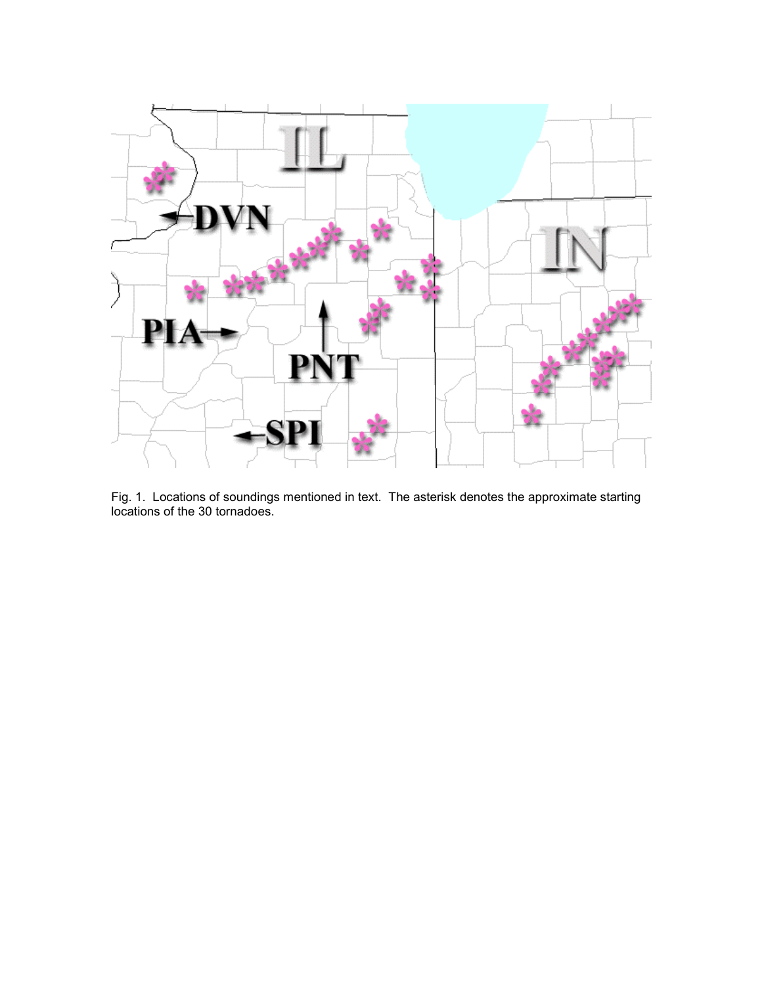

Fig. 1. Locations of soundings mentioned in text. The asterisk denotes the approximate starting locations of the 30 tornadoes.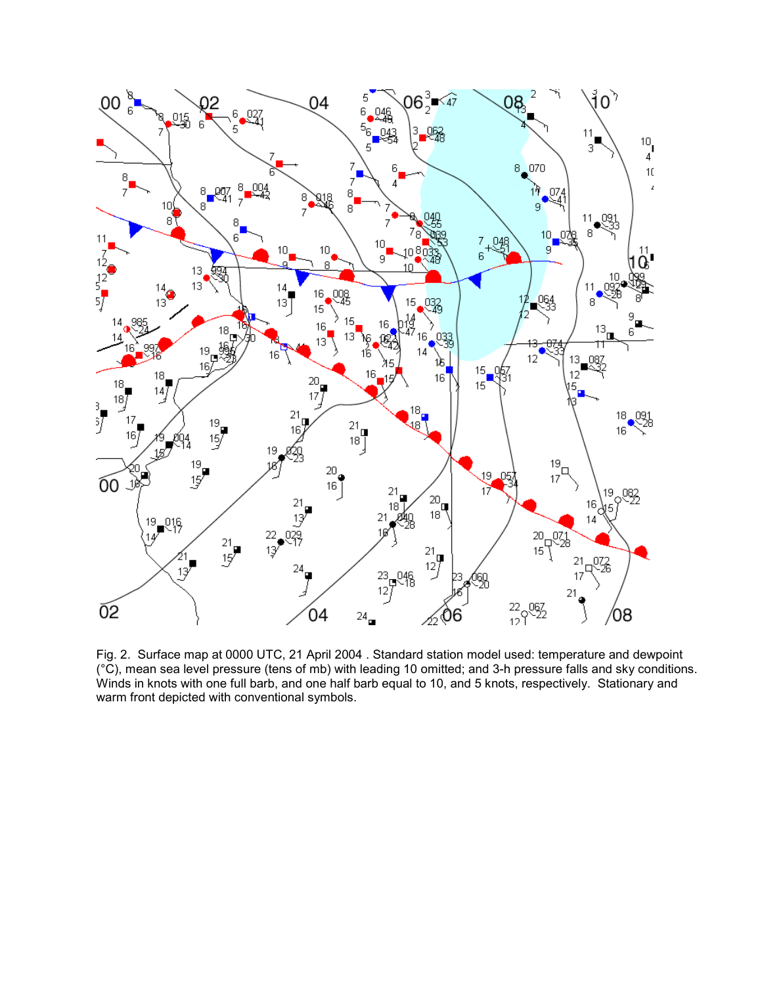

Fig. 2. Surface map at 0000 UTC, 21 April 2004 . Standard station model used: temperature and dewpoint (°C), mean sea level pressure (tens of mb) with leading 10 omitted; and 3-h pressure falls and sky conditions. Winds in knots with one full barb, and one half barb equal to 10, and 5 knots, respectively. Stationary and warm front depicted with conventional symbols.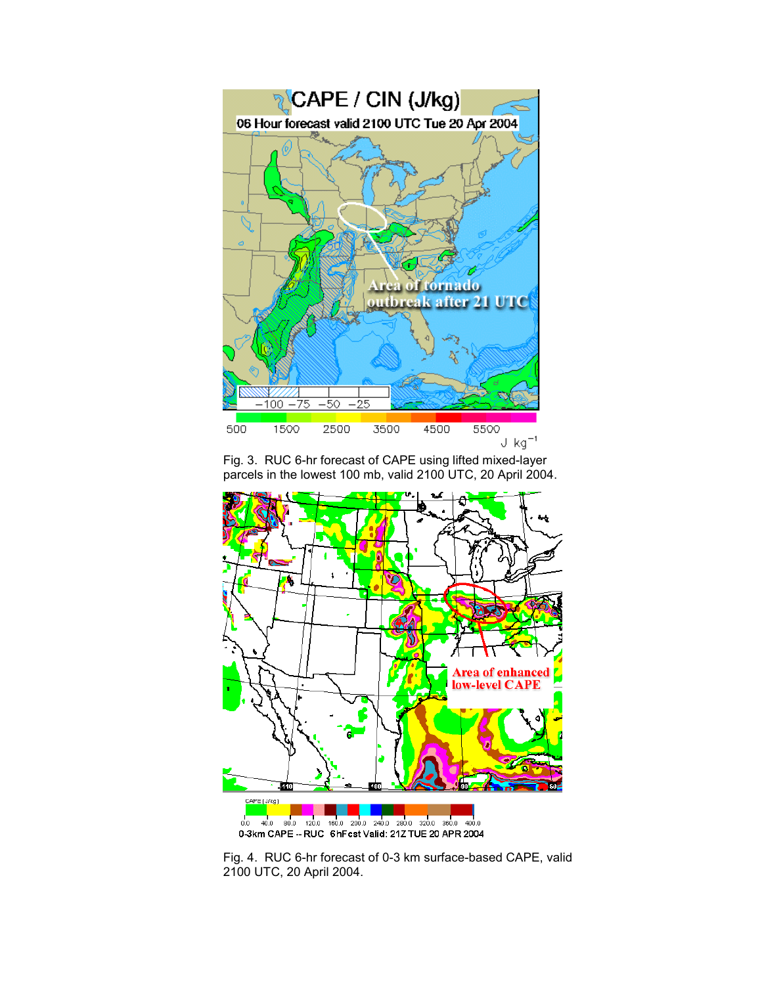

Fig. 3. RUC 6-hr forecast of CAPE using lifted mixed-layer parcels in the lowest 100 mb, valid 2100 UTC, 20 April 2004.



Fig. 4. RUC 6-hr forecast of 0-3 km surface-based CAPE, valid 2100 UTC, 20 April 2004.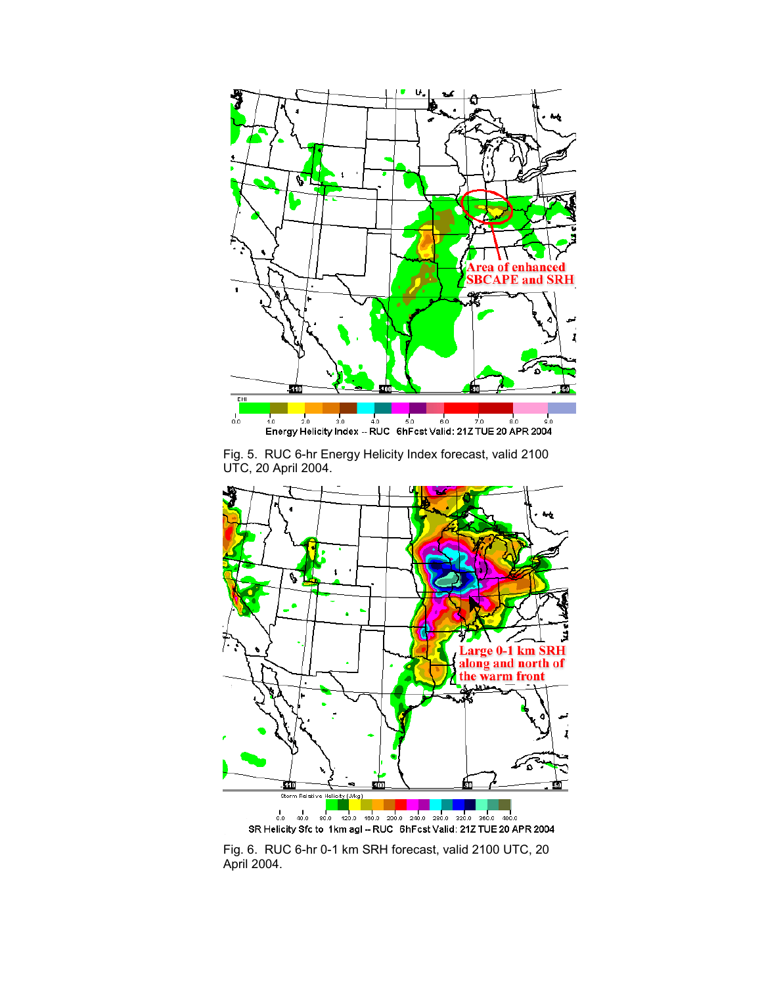

Fig. 5. RUC 6-hr Energy Helicity Index forecast, valid 2100 UTC, 20 April 2004.



Fig. 6. RUC 6-hr 0-1 km SRH forecast, valid 2100 UTC, 20 April 2004.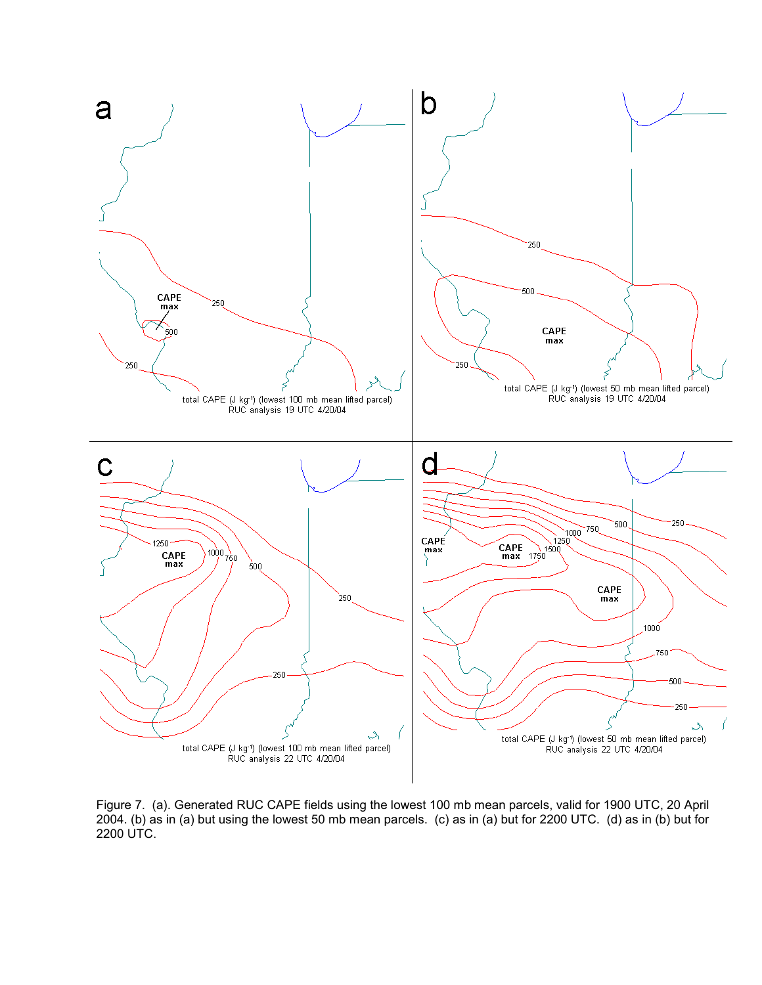

Figure 7. (a). Generated RUC CAPE fields using the lowest 100 mb mean parcels, valid for 1900 UTC, 20 April 2004. (b) as in (a) but using the lowest 50 mb mean parcels. (c) as in (a) but for 2200 UTC. (d) as in (b) but for 2200 UTC.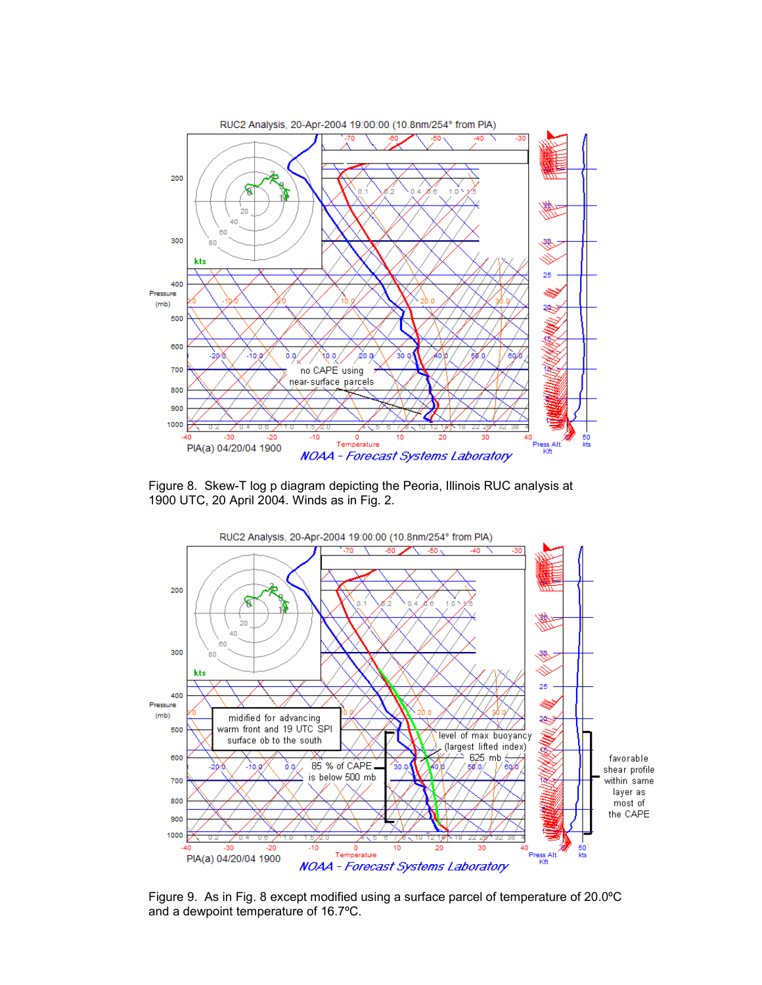

Figure 8. Skew-T log p diagram depicting the Peoria, Illinois RUC analysis at 1900 UTC, 20 April 2004. Winds as in Fig. 2.



Figure 9. As in Fig. 8 except modified using a surface parcel of temperature of 20.0ºC and a dewpoint temperature of 16.7ºC.